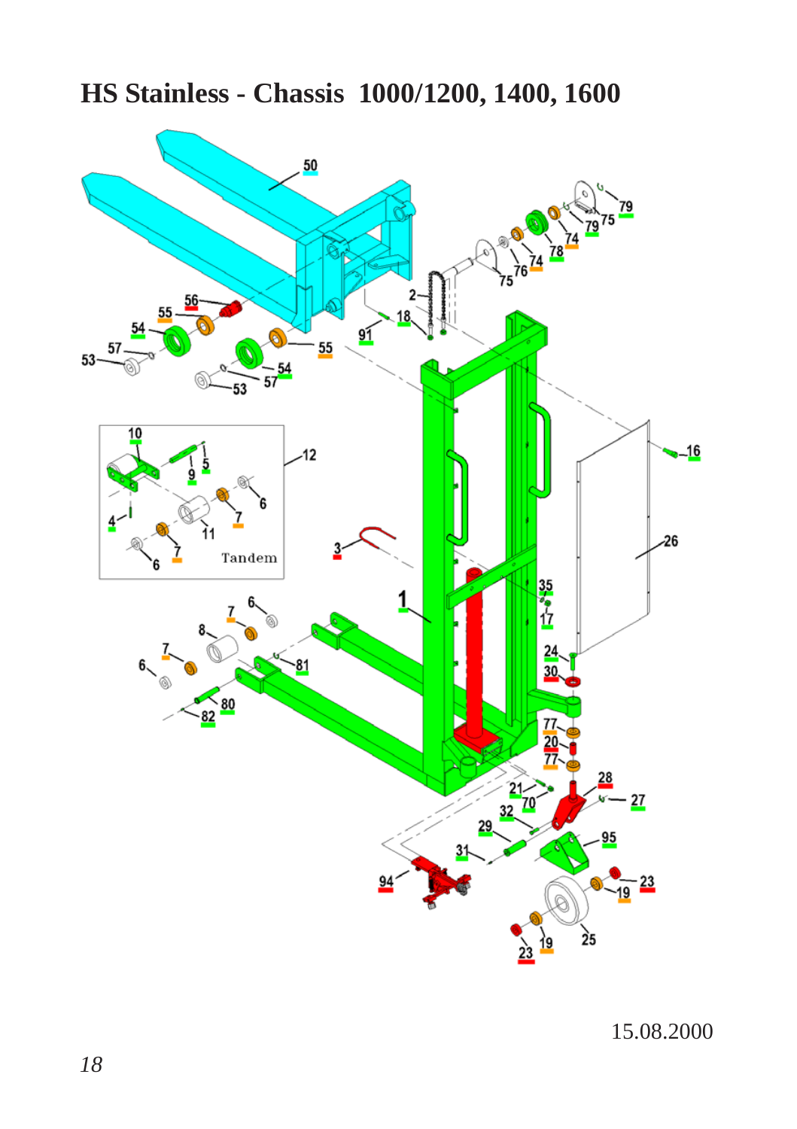## **HS Stainless - Chassis 1000/1200, 1400, 1600**



15.08.2000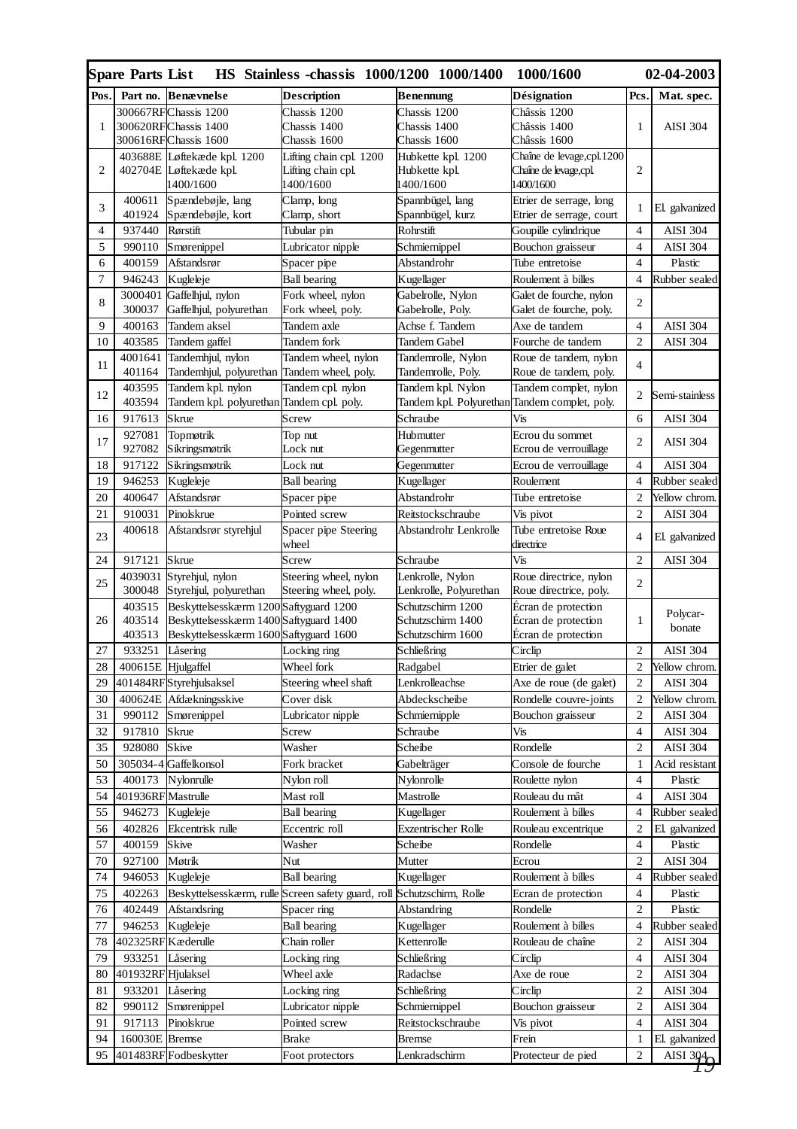|                | Spare Parts List   |                                                                        | HS Stainless -chassis 1000/1200 1000/1400 |                            | 1000/1600                          |                     | 02-04-2003                        |
|----------------|--------------------|------------------------------------------------------------------------|-------------------------------------------|----------------------------|------------------------------------|---------------------|-----------------------------------|
| Pos.           |                    | Part no. Benævnelse                                                    | <b>Description</b>                        | Benennung                  | Désignation                        | Pcs.                | Mat. spec.                        |
|                |                    | 300667RFChassis 1200                                                   | Chassis 1200                              | Chassis 1200               | Châssis 1200                       |                     |                                   |
| 1              |                    | 300620RFChassis 1400                                                   | Chassis 1400                              | Chassis 1400               | Châssis 1400                       | $\mathbf{1}$        | <b>AISI 304</b>                   |
|                |                    | 300616RFChassis 1600                                                   | Chassis 1600                              | Chassis 1600               | Châssis 1600                       |                     |                                   |
|                |                    | 403688E Løftekæde kpl. 1200                                            | Lifting chain cpl. 1200                   | Hubkette kpl. 1200         | Chaîne de levage, cpl. 1200        |                     |                                   |
| 2              |                    | 402704E Løftekæde kpl.<br>1400/1600                                    | Lifting chain cpl.<br>1400/1600           | Hubkette kpl.<br>1400/1600 | Chaîne de levage, cpl<br>1400/1600 | $\overline{c}$      |                                   |
|                | 400611             | Spændebøjle, lang                                                      | Clamp, long                               | Spannbügel, lang           | Etrier de serrage, long            |                     |                                   |
| 3              | 401924             | Spændebøjle, kort                                                      | Clamp, short                              | Spannbügel, kurz           | Etrier de serrage, court           | 1                   | El. galvanized                    |
| $\overline{4}$ | 937440             | Rørstift                                                               | Tubular pin                               | Rohrstift                  | Goupille cylindrique               | 4                   | <b>AISI 304</b>                   |
| 5              | 990110             | Smørenippel                                                            | Lubricator nipple                         | Schmiernippel              | Bouchon graisseur                  | 4                   | <b>AISI 304</b>                   |
| 6              | 400159             | Afstandsrør                                                            | Spacer pipe                               | Abstandrohr                | Tube entretoise                    | 4                   | Plastic                           |
| 7              | 946243             | Kugleleje                                                              | <b>Ball</b> bearing                       | Kugellager                 | Roulement à billes                 | 4                   | Rubber sealed                     |
|                |                    | 3000401 Gaffelhjul, nylon                                              | Fork wheel, nylon                         | Gabelrolle, Nylon          | Galet de fourche, nylon            |                     |                                   |
| 8              | 300037             | Gaffelhjul, polyurethan                                                | Fork wheel, poly.                         | Gabelrolle, Poly.          | Galet de fourche, poly.            | $\overline{c}$      |                                   |
| 9              | 400163             | Tandem aksel                                                           | Tandem axle                               | Achse f. Tandem            | Axe de tandem                      | 4                   | <b>AISI 304</b>                   |
| 10             | 403585             | Tandem gaffel                                                          | Tandem fork                               | Tandem Gabel               | Fourche de tandem                  | $\overline{c}$      | <b>AISI 304</b>                   |
| 11             | 4001641            | Tandemhjul, nylon                                                      | Tandem wheel, nylon                       | Tandemrolle, Nylon         | Roue de tandem, nylon              | 4                   |                                   |
|                | 401164             | Tandemhjul, polyurethan                                                | Tandem wheel, poly.                       | Tandemrolle, Poly.         | Roue de tandem, poly.              |                     |                                   |
| 12             | 403595             | Tandem kpl. nylon                                                      | Tandem cpl. nylon                         | Tandem kpl. Nylon          | Tandem complet, nylon              | 2                   | Semi-stainless                    |
|                | 403594             | Tandem kpl. polyurethan Tandem cpl. poly.                              |                                           | Tandem kpl. Polyurethan    | Tandem complet, poly.              |                     |                                   |
| 16             | 917613             | Skrue                                                                  | Screw                                     | Schraube                   | Vis                                | 6                   | <b>AISI 304</b>                   |
| 17             | 927081             | Topmøtrik                                                              | Top nut                                   | Hubmutter                  | Ecrou du sommet                    | $\overline{c}$      | <b>AISI 304</b>                   |
|                | 927082             | Sikringsmøtrik                                                         | Lock nut                                  | Gegenmutter                | Ecrou de verrouillage              |                     |                                   |
| 18             | 917122             | Sikringsmøtrik                                                         | Lock nut                                  | Gegenmutter                | Ecrou de verrouillage              | $\overline{4}$      | <b>AISI 304</b>                   |
| 19             | 946253             | Kugleleje                                                              | <b>Ball bearing</b>                       | Kugellager                 | Roulement                          | 4                   | Rubber sealed                     |
| 20             | 400647             | Afstandsrør                                                            | Spacer pipe                               | Abstandrohr                | Tube entretoise                    | $\overline{c}$      | Yellow chrom                      |
| 21             | 910031             | Pinolskrue                                                             | Pointed screw                             | Reitstockschraube          | Vis pivot                          | $\overline{c}$      | <b>AISI 304</b>                   |
| 23             | 400618             | Afstandsrør styrehjul                                                  | Spacer pipe Steering<br>wheel             | Abstandrohr Lenkrolle      | Tube entretoise Roue<br>directrice | 4                   | El. galvanized                    |
| 24             | 917121             | Skrue                                                                  | Screw                                     | Schraube                   | Vis                                | 2                   | <b>AISI 304</b>                   |
| 25             | 4039031            | Styrehjul, nylon                                                       | Steering wheel, nylon                     | Lenkrolle, Nylon           | Roue directrice, nylon             | $\overline{c}$      |                                   |
|                | 300048             | Styrehjul, polyurethan                                                 | Steering wheel, poly.                     | Lenkrolle, Polyurethan     | Roue directrice, poly.             |                     |                                   |
|                | 403515             | Beskyttelsesskærm 1200 Saftyguard 1200                                 |                                           | Schutzschirm 1200          | Écran de protection                |                     | Polycar-                          |
| 26             | 403514             | Beskyttelsesskærm 1400 Saftyguard 1400                                 |                                           | Schutzschirm 1400          | Écran de protection                | 1                   | bonate                            |
|                | 403513             | Beskyttelsesskærm 1600 Saftyguard 1600                                 |                                           | Schutzschirm 1600          | Ecran de protection                |                     |                                   |
| 27             | 933251             | Låsering                                                               | Locking ring                              | Schließring                | Circlip                            | 2                   | <b>AISI 304</b>                   |
| 28             | 400615E Hjulgaffel |                                                                        | Wheel fork                                | Radgabel                   | Etrier de galet                    | $\overline{c}$      | Yellow chrom.                     |
| 29             |                    | 401484RFStyrehjulsaksel                                                | Steering wheel shaft                      | Lenkrolleachse             | Axe de roue (de galet)             | $\overline{c}$      | <b>AISI 304</b>                   |
| 30<br>31       | 400624E            | Afdækningsskive                                                        | Cover disk                                | Abdeckscheibe              | Rondelle couvre-joints             | $\overline{c}$<br>2 | Yellow chrom.                     |
| 32             | 990112             | Smørenippel                                                            | Lubricator nipple                         | Schmiernipple              | Bouchon graisseur                  | 4                   | <b>AISI 304</b>                   |
|                | 917810             | Skrue                                                                  | Screw                                     | Schraube                   | Vis                                | $\overline{c}$      | <b>AISI 304</b>                   |
| 35<br>50       | 928080             | Skive<br>305034-4 Gaffelkonsol                                         | Washer<br>Fork bracket                    | Scheibe                    | Rondelle<br>Console de fourche     | 1                   | <b>AISI 304</b><br>Acid resistant |
| 53             | 400173             | Nylonrulle                                                             | Nylon roll                                | Gabelträger<br>Nylonrolle  | Roulette nylon                     | 4                   | Plastic                           |
| 54             | 401936RF Mastrulle |                                                                        | Mast roll                                 | Mastrolle                  | Rouleau du mât                     | $\overline{4}$      | <b>AISI 304</b>                   |
| 55             | 946273             | Kugleleje                                                              | <b>Ball</b> bearing                       | Kugellager                 | Roulement à billes                 | 4                   | Rubber sealed                     |
| 56             | 402826             | Ekcentrisk rulle                                                       | Eccentric roll                            | Exzentrischer Rolle        | Rouleau excentrique                | $\overline{c}$      | El. galvanized                    |
| 57             | 400159             | Skive                                                                  | Washer                                    | Scheibe                    | Rondelle                           | 4                   | Plastic                           |
| 70             | 927100             | Møtrik                                                                 | Nut                                       | Mutter                     | Ecrou                              | $\overline{c}$      | <b>AISI 304</b>                   |
| 74             | 946053             | Kugleleje                                                              | <b>Ball</b> bearing                       | Kugellager                 | Roulement à billes                 | 4                   | Rubber sealed                     |
| 75             | 402263             | Beskyttelsesskærm, rulle Screen safety guard, roll Schutzschirm, Rolle |                                           |                            | Ecran de protection                | 4                   | Plastic                           |
| 76             |                    | 402449 Afstandsring                                                    | Spacer ring                               | Abstandring                | Rondelle                           |                     | Plastic                           |
| 77             |                    | 946253 Kugleleje                                                       | <b>Ball bearing</b>                       | Kugellager                 | Roulement à billes                 | 4                   | Rubber sealed                     |
| 78             | 402325RF Kæderulle |                                                                        | Chain roller                              | Kettenrolle                | Rouleau de chaîne                  | $\overline{c}$      | <b>AISI 304</b>                   |
| 79             | 933251             | Låsering                                                               | Locking ring                              | Schließring                | Circlip                            | 4                   | <b>AISI 304</b>                   |
| 80             | 401932RF Hjulaksel |                                                                        | Wheel axle                                | Radachse                   | Axe de roue                        | $\overline{c}$      | <b>AISI 304</b>                   |
| 81             | 933201             | Låsering                                                               | Locking ring                              | Schließring                | Circlip                            | $\overline{c}$      | <b>AISI 304</b>                   |
| 82             | 990112             | Smørenippel                                                            | Lubricator nipple                         | Schmiernippel              | Bouchon graisseur                  | $\overline{c}$      | <b>AISI 304</b>                   |
| 91             | 917113             | Pinolskrue                                                             | Pointed screw                             | Reitstockschraube          | Vis pivot                          | 4                   | <b>AISI 304</b>                   |
| 94             | 160030E Bremse     |                                                                        | Brake                                     | Bremse                     | Frein                              | 1                   | El. galvanized                    |
| 95             |                    | 401483RF Fodbeskytter                                                  | Foot protectors                           | Lenkradschirm              | Protecteur de pied                 | 2                   | AISI $304$                        |
|                |                    |                                                                        |                                           |                            |                                    |                     |                                   |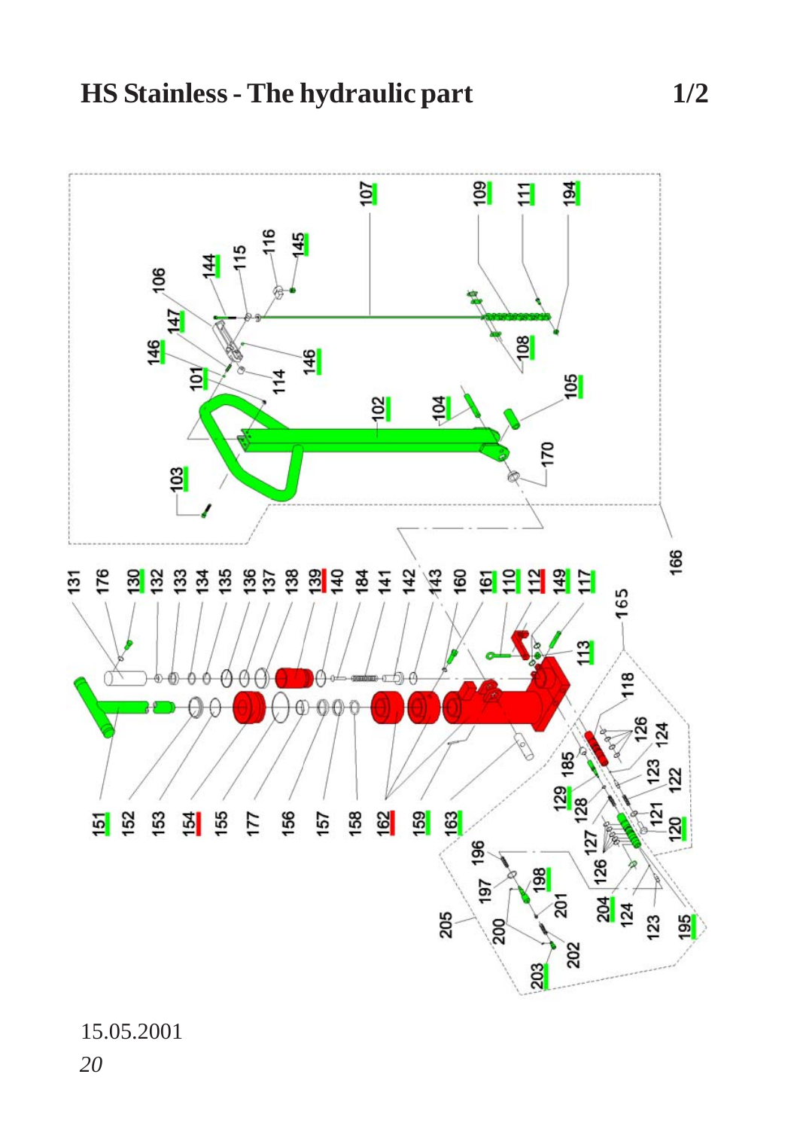

15.05.2001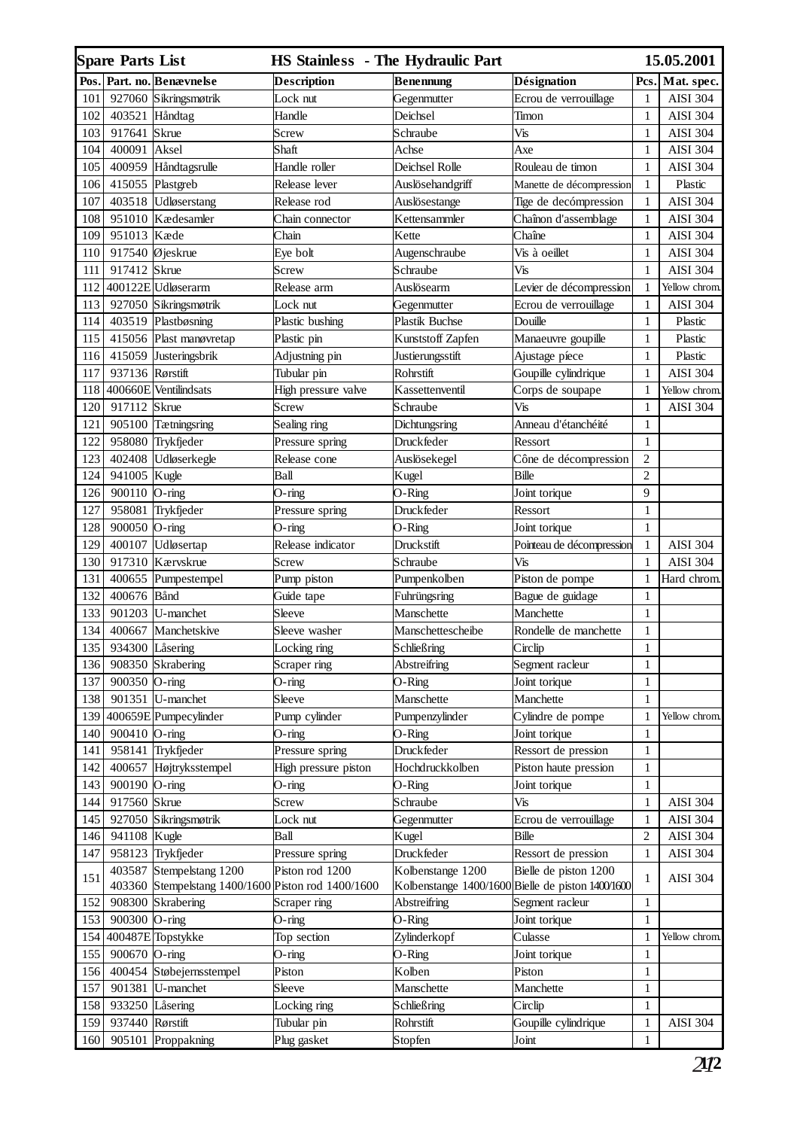|      | <b>Spare Parts List</b>    |                                                    | <b>HS Stainless</b> - The Hydraulic Part |                   |                                                   |                | 15.05.2001      |
|------|----------------------------|----------------------------------------------------|------------------------------------------|-------------------|---------------------------------------------------|----------------|-----------------|
| Pos. |                            | Part. no. Benævnelse                               | Description                              | <b>Benennung</b>  | Désignation                                       | Pcs.           | Mat. spec.      |
| 101  | 927060                     | Sikringsmøtrik                                     | Lock nut                                 | Gegenmutter       | Ecrou de verrouillage                             | 1              | <b>AISI 304</b> |
| 102  | 403521 Håndtag             |                                                    | Handle                                   | Deichsel          | Timon                                             | 1              | <b>AISI 304</b> |
| 103  | 917641 Skrue               |                                                    | Screw                                    | Schraube          | Vis                                               | $\mathbf{1}$   | <b>AISI 304</b> |
| 104  | 400091                     | Aksel                                              | Shaft                                    | Achse             | Axe                                               | 1              | <b>AISI 304</b> |
| 105  | 400959                     | Håndtagsrulle                                      | Handle roller                            | Deichsel Rolle    | Rouleau de timon                                  | 1              | <b>AISI 304</b> |
| 106  | 415055 Plastgreb           |                                                    | Release lever                            | Auslösehandgriff  | Manette de décompression                          | 1              | Plastic         |
| 107  |                            | 403518 Udløserstang                                | Release rod                              | Auslösestange     | Tige de decómpression                             | 1              | <b>AISI 304</b> |
| 108  |                            | 951010 Kædesamler                                  | Chain connector                          | Kettensammler     | Chaînon d'assemblage                              | $\mathbf{1}$   | <b>AISI 304</b> |
| 109  | 951013 Kæde                |                                                    | Chain                                    | Kette             | Chaîne                                            | 1              | <b>AISI 304</b> |
| 110  | 917540 $\emptyset$ jeskrue |                                                    | Eye bolt                                 | Augenschraube     | Vis à oeillet                                     | 1              | <b>AISI 304</b> |
| 111  | 917412                     | Skrue                                              | Screw                                    | Schraube          | Vis                                               | $\mathbf{1}$   | <b>AISI 304</b> |
| 112  |                            | 400122E Udløserarm                                 | Release arm                              | Auslösearm        | Levier de décompression                           | $\mathbf{1}$   | Yellow chrom    |
| 113  | 927050                     | Sikringsmøtrik                                     | Lock nut                                 | Gegenmutter       | Ecrou de verrouillage                             | $\mathbf{1}$   | AISI 304        |
| 114  | 403519                     | Plastbøsning                                       | Plastic bushing                          | Plastik Buchse    | Douille                                           | $\mathbf{1}$   | Plastic         |
| 115  | 415056                     | Plast manøvretap                                   | Plastic pin                              | Kunststoff Zapfen | Manaeuvre goupille                                | $\mathbf{1}$   | Plastic         |
| 116  | 415059                     | Justeringsbrik                                     | Adjustning pin                           | Justierungsstift  | Ajustage píece                                    | $\mathbf{1}$   | Plastic         |
| 117  | 937136                     | Rørstift                                           | Tubular pin                              | Rohrstift         | Goupille cylindrique                              | $\mathbf{1}$   | AISI 304        |
| 118  | 400660E                    | Ventilindsats                                      | High pressure valve                      | Kassettenventil   | Corps de soupape                                  | 1              | Yellow chrom    |
| 120  | 917112                     | Skrue                                              | Screw                                    | Schraube          | Vis                                               | 1              | <b>AISI 304</b> |
| 121  | 905100                     | Tætningsring                                       | Sealing ring                             | Dichtungsring     | Anneau d'étanchéité                               | 1              |                 |
| 122  |                            | 958080 Trykfjeder                                  | Pressure spring                          | Druckfeder        | Ressort                                           | $\mathbf{1}$   |                 |
| 123  | 402408                     | Udløserkegle                                       | Release cone                             | Auslösekegel      | Cône de décompression                             | $\overline{c}$ |                 |
| 124  | 941005                     | Kugle                                              | Ball                                     | Kugel             | Bille                                             | $\overline{c}$ |                 |
| 126  | 900110                     | O-ring                                             | $O$ -ring                                | O-Ring            | Joint torique                                     | 9              |                 |
| 127  | 958081                     | Trykfjeder                                         | Pressure spring                          | Druckfeder        | Ressort                                           | $\mathbf{1}$   |                 |
| 128  | 900050 O-ring              |                                                    | O-ring                                   | O-Ring            | Joint torique                                     | 1              |                 |
| 129  | 400107                     | Udløsertap                                         | Release indicator                        | Druckstift        | Pointeau de décompression                         | $\mathbf{1}$   | <b>AISI 304</b> |
| 130  | 917310                     | Kærvskrue                                          | Screw                                    | Schraube          | Vis                                               | $\mathbf{1}$   | <b>AISI 304</b> |
| 131  | 400655                     | Pumpestempel                                       | Pump piston                              | Pumpenkolben      | Piston de pompe                                   | $\mathbf{1}$   | Hard chrom      |
| 132  | 400676                     | Bånd                                               | Guide tape                               | Fuhrüngsring      | Bague de guidage                                  | $\mathbf{1}$   |                 |
| 133  | 901203                     | U-manchet                                          | Sleeve                                   | Manschette        | Manchette                                         | $\mathbf{1}$   |                 |
| 134  | 400667                     | Manchetskive                                       | Sleeve washer                            | Manschettescheibe | Rondelle de manchette                             | $\mathbf{1}$   |                 |
| 135  | 934300                     | Låsering                                           | Locking ring                             | Schließring       | Circlip                                           | 1              |                 |
| 136  |                            | 908350 Skrabering                                  | Scraper ring                             | Abstreifring      | Segment racleur                                   | 1              |                 |
| 137  | 900350                     | O-ring                                             | O-ring                                   | O-Ring            | Joint torique                                     | $\mathbf{1}$   |                 |
| 138  | 901351                     | U-manchet                                          | Sleeve                                   | Manschette        | Manchette                                         | $\mathbf{1}$   |                 |
| 139  |                            | 400659E Pumpecylinder                              | Pump cylinder                            | Pumpenzylinder    | Cylindre de pompe                                 | $\mathbf{1}$   | Yellow chrom.   |
| 140  | 900410 O-ring              |                                                    | O-ring                                   | O-Ring            | Joint torique                                     | $\mathbf{1}$   |                 |
| 141  | 958141                     | Trykfjeder                                         | Pressure spring                          | Druckfeder        | Ressort de pression                               | $\mathbf{1}$   |                 |
| 142  | 400657                     | Højtryksstempel                                    | High pressure piston                     | Hochdruckkolben   | Piston haute pression                             | $\mathbf{1}$   |                 |
| 143  | 900190 O-ring              |                                                    | O-ring                                   | O-Ring            | Joint torique                                     | $\mathbf{1}$   |                 |
| 144  | 917560                     | Skrue                                              | Screw                                    | Schraube          | Vis                                               | $\mathbf{1}$   | <b>AISI 304</b> |
| 145  | 927050                     | Sikringsmøtrik                                     | Lock nut                                 | Gegenmutter       | Ecrou de verrouillage                             | $\mathbf{1}$   | <b>AISI 304</b> |
| 146  | 941108                     | Kugle                                              | Ball                                     | Kugel             | Bille                                             | 2              | <b>AISI 304</b> |
| 147  |                            | 958123 Trykfjeder                                  | Pressure spring                          | Druckfeder        | Ressort de pression                               | $\mathbf{1}$   | <b>AISI 304</b> |
|      |                            | 403587 Stempelstang 1200                           | Piston rod 1200                          | Kolbenstange 1200 | Bielle de piston 1200                             |                |                 |
| 151  |                            | 403360 Stempelstang 1400/1600 Piston rod 1400/1600 |                                          |                   | Kolbenstange 1400/1600 Bielle de piston 1400/1600 | 1              | <b>AISI 304</b> |
| 152  |                            | 908300 Skrabering                                  | Scraper ring                             | Abstreifring      | Segment racleur                                   | $\mathbf{1}$   |                 |
| 153  | 900300 O-ring              |                                                    | O-ring                                   | O-Ring            | Joint torique                                     | $\mathbf{1}$   |                 |
| 154  |                            | 400487E Topstykke                                  | Top section                              | Zylinderkopf      | Culasse                                           | $\mathbf{1}$   | Yellow chrom.   |
| 155  | 900670 O-ring              |                                                    | $O$ -ring                                | O-Ring            | Joint torique                                     | $\mathbf{1}$   |                 |
| 156  |                            | 400454 Støbejernsstempel                           | Piston                                   | Kolben            | Piston                                            | $\mathbf{1}$   |                 |
| 157  |                            | 901381 U-manchet                                   | Sleeve                                   | Manschette        | Manchette                                         | $\mathbf{1}$   |                 |
| 158  | 933250 Låsering            |                                                    | Locking ring                             | Schließring       | Circlip                                           | $\mathbf{1}$   |                 |
| 159  | 937440                     | Rørstift                                           | Tubular pin                              | Rohrstift         | Goupille cylindrique                              | $\mathbf{1}$   | <b>AISI 304</b> |
| 160  |                            | 905101 Proppakning                                 | Plug gasket                              | Stopfen           | Joint                                             | $\mathbf{1}$   |                 |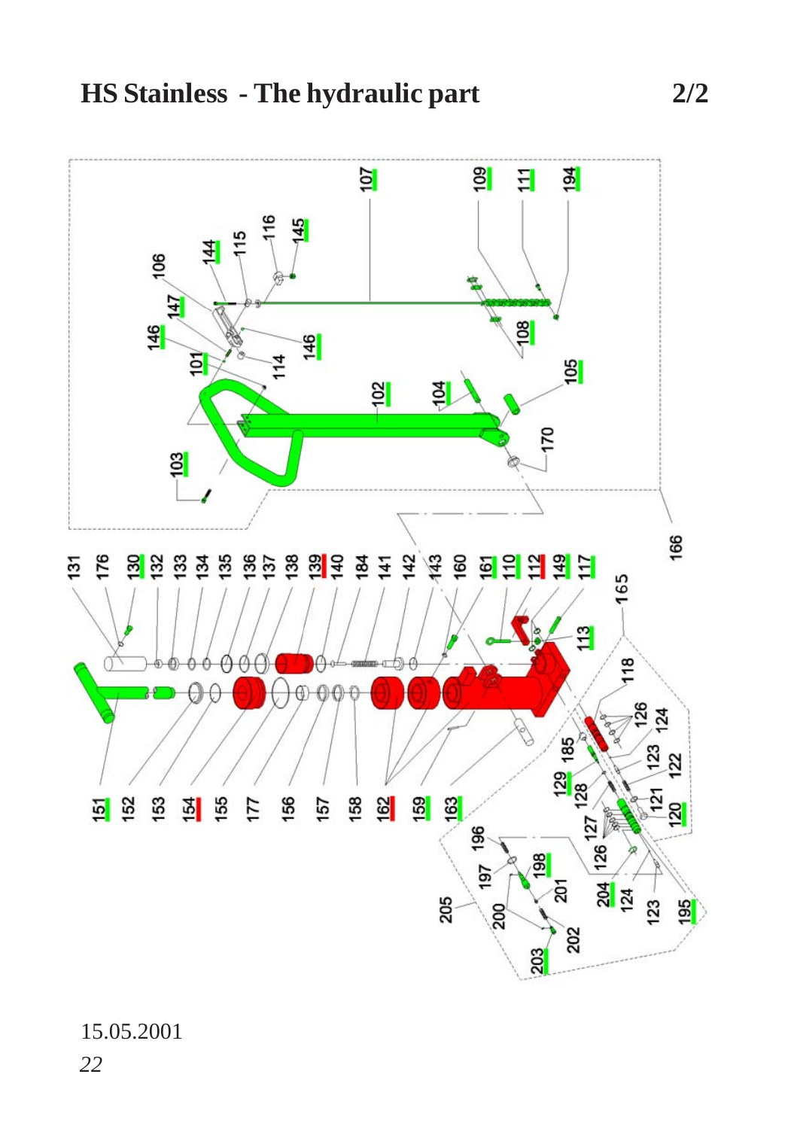

15.05.2001